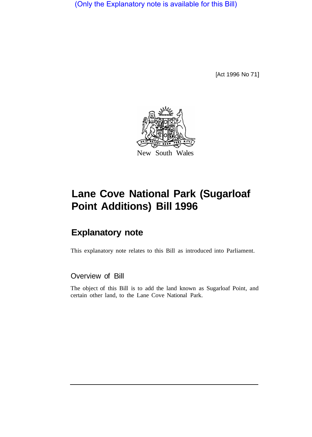(Only the Explanatory note is available for this Bill)

[Act 1996 No 71]



# **Lane Cove National Park (Sugarloaf Point Additions) Bill 1996**

## **Explanatory note**

This explanatory note relates to this Bill as introduced into Parliament.

## Overview of Bill

The object of this Bill is to add the land known as Sugarloaf Point, and certain other land, to the Lane Cove National Park.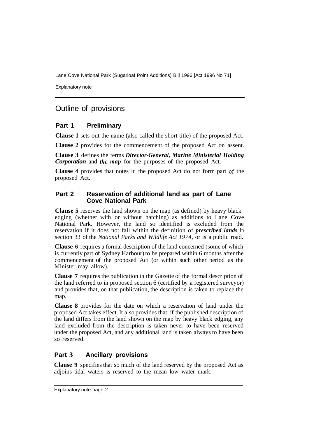Lane Cove National Park (Sugarloaf Point Additions) Bill 1996 [Act 1996 No 71]

Explanatory note

## Outline of provisions

#### **Part 1 Preliminary**

**Clause 1** sets out the name (also called the short title) of the proposed Act.

**Clause 2** provides for the commencement of the proposed Act on assent.

**Clause 3** defines the terms *Director-General, Marine Ministerial Holding Corporation* and *the map* for the purposes of the proposed Act.

**Clause** 4 provides that notes in the proposed Act do not form part of the proposed Act.

#### **Part 2 Reservation of additional land as part of Lane Cove National Park**

**Clause 5** reserves the land shown on the map (as defined) by heavy black edging (whether with or without hatching) as additions to Lane Cove National Park. However, the land so identified is excluded from the reservation if it does not fall within the definition of *prescribed lands* in section 33 of the *National Parks and Wildlife Act 1974,* or is a public road.

**Clause 6** requires a formal description of the land concerned (some of which is currently part of Sydney Harbour) to be prepared within 6 months after the commencement of the proposed Act (or within such other period as the Minister may allow).

**Clause 7** requires the publication in the Gazette of the formal description of the land referred to in proposed section 6 (certified by a registered surveyor) and provides that, on that publication, the description is taken to replace the map.

**Clause 8** provides for the date on which a reservation of land under the proposed Act takes effect. It also provides that, if the published description of the land differs from the land shown on the map by heavy black edging, any land excluded from the description is taken never to have been reserved under the proposed Act, and any additional land is taken always to have been so reserved.

### **Part 3 Ancillary provisions**

**Clause 9** specifies that so much of the land reserved by the proposed Act as adjoins tidal waters is reserved to the mean low water mark.